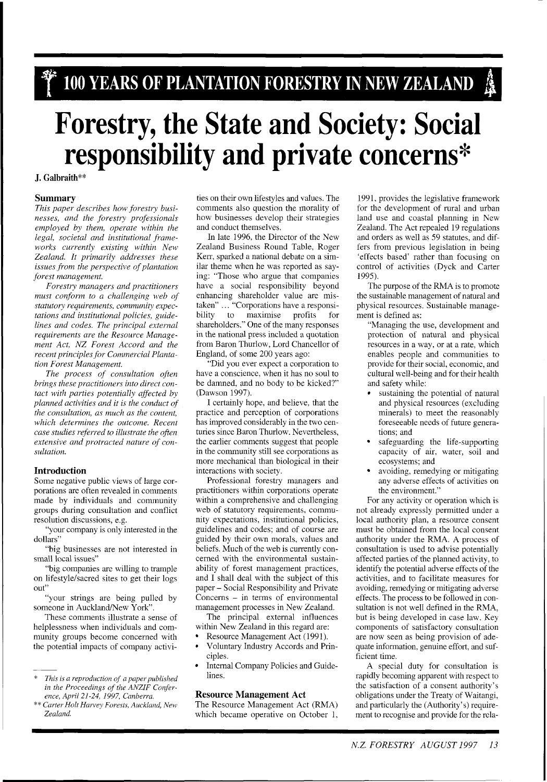# **Forestry, the State and Society: Social responsibility and private concerns\***

J. Galbraith\*\*

### **Summary**

*This paper describes how forestry businesses, and the forestvy professionals employed by them, operate within the legal, societal and institutional frameworks currently existing within New Zealand. It primarily addresses these issues from the perspective of plantation forest management.* 

*Forestry managers and practitioners must conform to a challenging web oj statutory requirements, communily expectations and institutional policies, guidelines and codes. The principal external requirements are the Resource Management Act, NZ Forest Accord and the recent principles for Commercial Plantation Forest Management.* 

*The process of consultation often brings these practitioners into direct contact with parties potentially affected by planned activities and it is the conduct of the consultation, as much as the content, which determines the outcome. Recent case studies referred to illustrate the often extensive and protracted nature of consultation.* 

# **Introduction**

Some negative public views of large corporations are often revealed in comments made by individuals and community groups during consultation and conflict resolution discussions, e.g.

"your company is only interested in the dollars"

"big businesses are not interested in small local issues"

"big companies are willing to trample on lifestyle/sacred sites to get their logs out"

"your strings are being pulled by someone in Auckland/New York".

These comments illustrate a sense of helplessness when individuals and community groups become concerned with the potential impacts of company activities on their own lifestyles and values. The comments also question the morality of how businesses develop their strategies and conduct themselves.

In late 1996, the Director of the New Zealand Business Round Table, Roger Kerr, sparked a national debate on a similar theme when he was reported as saying: "Those who argue that companies have a social responsibility beyond enhancing shareholder value are mistaken" ... "Corporations have a responsi-<br>bility to maximise profits for bility to maximise profits for shareholders." One of the many responses in the national press included a quotation from Baron Thurlow, Lord Chancellor of England, of some 200 years ago:

"Did you ever expect a corporation to have a conscience, when it has no soul to be damned, and no body to be kicked?" (Dawson 1997).

I certainly hope, and believe, that the practice and perception of corporations has improved considerably in the two centuries since Baron Thurlow. Nevertheless, the earlier comments suggest that people in the community still see corporations as more mechanical than biological in their interactions with society.

Professional forestry managers and practitioners within corporations operate within a comprehensive and challenging web of statutory requirements, community expectations, institutional policies, guidelines and codes; and of course are guided by their own morals, values and beliefs. Much of the web is currently concerned with the environmental sustainability of forest management practices, and I shall deal with the subject of this paper - Social Responsibility and Private Concerns - in terms of environmental management processes in New Zealand.

The principal external influences within New Zealand in this regard are:

- Resource Management Act (1991).
- Voluntary Industry Accords and Principles.
- Internal Company Policies and Guidelines.

# **Resource Management Act**

The Resource Management Act (RMA) which became operative on October 1,

1991, provides the legislative framework for the development of rural and urban land use and coastal planning in New Zealand. The Act repealed 19 regulations and orders as well as 59 statutes, and differs from previous legislation in being 'effects based' rather than focusing on control of activities (Dyck and Carter 1995).

The purpose of the RMA is to promote the sustainable management of natural and physical resources. Sustainable management is defined as:

- "Managing the use, development and protection of natural and physical resources in a way, or at a rate, which enables people and communities to provide for their social, economic, and cultural well-being and for their health and safety while:
- sustaining the potential of natural and physical resources (excluding minerals) to meet the reasonably foreseeable needs of future generations; and
- safeguarding the life-supporting capacity of air, water, soil and ecosystems; and
- avoiding, remedying or mitigating any adverse effects of activities on the environment."

For any activity or operation which is not already expressly permitted under a local authority plan, a resource consent must be obtained from the local consent authority under the RMA. A process of consultation is used to advise potentially affected parties of the planned activity, to identify the potential adverse effects of the activities, and to facilitate measures for avoiding, remedying or mitigating adverse effects. The process to be followed in consultation is not well defined in the RMA, but is being developed in case law. Key components of satisfactory consultation are now seen as being provision of adequate information, genuine effort, and sufficient time.

A special duty for consultation is rapidly becoming apparent with respect to the satisfaction of a consent authority's obligations under the Treaty of Waitangi, and particularly the (Authority's) requirement to recognise and provide for the rela-

<sup>\*</sup> *This is a reproduction of apaperpublished*  in the Proceedings of the ANZIF Confer*ence, April 21-24, 1997, Canberra.* 

<sup>&</sup>quot;\* *Carter Holt Harvey Forests, Auckland, New Zealand.*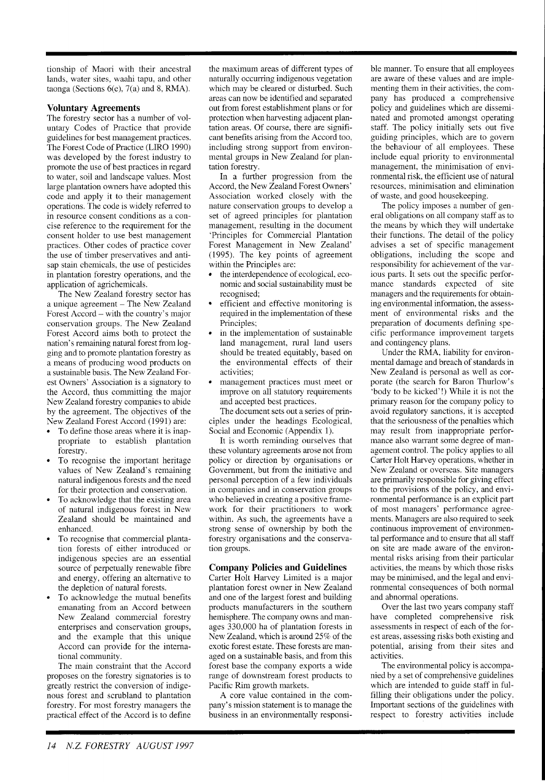tionship of Maori with their ancestral lands, water sites, waahi tapu, and other taonga (Sections 6(e), 7(a) and 8, RMA).

# **Voluntary Agreements**

The forestry sector has a number of voluntary Codes of Practice that provide guidelines for best management practices. The Forest Code of Practice (LIRO 1990) was developed by the forest industry to promote the use of best practices in regard to water, soil and landscape values. Most large plantation owners have adopted this code and apply it to their management operations. The code is widely referred to in resource consent conditions as a concise reference to the requirement for the consent holder to use best management practices. Other codes of practice cover the use of timber preservatives and antisap stain chemicals, the use of pesticides in plantation forestry operations, and the application of agrichemicals.

The New Zealand forestry sector has a unique agreement - The New Zealand Forest Accord - with the country's major conservation groups. The New Zealand Forest Accord aims both to protect the nation's remaining natural forest from logging and to promote plantation forestry as a means of producing wood products on a sustainable basis. The New Zealand Forest Owners' Association is a signatory to the Accord, thus committing the major New Zealand forestry companies to abide by the agreement. The objectives of the New Zealand Forest Accord (1991) are:

- To define those areas where it is inappropriate to establish plantation forestry.
- To recognise the important heritage values of New Zealand's remaining natural indigenous forests and the need for their protection and conservation.
- To acknowledge that the existing area of natural indigenous forest in New Zealand should be maintained and enhanced.
- To recognise that commercial plantation forests of either introduced or indigenous species are an essential source of perpetually renewable fibre and energy, offering an alternative to the depletion of natural forests.
- To acknowledge the mutual benefits emanating from an Accord between New Zealand commercial forestry enterprises and conservation groups, and the example that this unique Accord can provide for the international community.

The main constraint that the Accord proposes on the forestry signatories is to greatly restrict the conversion of indigenous forest and scrubland to plantation forestry. For most forestry managers the practical effect of the Accord is to define

the maximum areas of different types of naturally occurring indigenous vegetation which may be cleared or disturbed. Such areas can now be identified and separated out from forest establishment plans or for protection when harvesting adjacent plantation areas. Of course, there are significant benefits arising from the Accord too, including strong support from environmental groups in New Zealand for plantation forestry.

In a further progression from the Accord, the New Zealand Forest Owners' Association worked closely with the nature conservation groups to develop a set of agreed principles for plantation management, resulting in the document 'Principles for Commercial Plantation Forest Management in New Zealand' (1995). The key points of agreement within the Principles are:

- the interdependence of ecological, economic and social sustainability must be recognised;
- efficient and effective monitoring is required in the implementation of these Principles;
- in the implementation of sustainable land management, rural land users should be treated equitably, based on the environmental effects of their activities;
- management practices must meet or improve on all statutory requirements and accepted best practices.

The document sets out a series of principles under the headings Ecological, Social and Economic (Appendix 1).

It is worth reminding ourselves that these voluntary agreements arose not from policy or direction by organisations or Government. but from the initiative and personal perception of a few individuals in companies and in conservation groups who believed in creating a positive framework for their practitioners to work within. As such, the agreements have a strong sense of ownership by both the forestry organisations and the conservation groups.

# **Company Policies and Guidelines**

Carter Holt Harvey Limited is a major plantation forest owner in New Zealand and one of the largest forest and building products manufacturers in the southern hemisphere. The company owns and manages 330,000 ha of plantation forests in New Zealand, which is around 25% of the exotic forest estate. These forests are managed on a sustainable basis, and from this forest base the company exports a wide range of downstream forest products to Pacific Rim growth markets.

A core value contained in the company's mission statement is to manage the business in an environmentally responsible manner. To ensure that all employees are aware of these values and are implementing them in their activities, the company has produced a comprehensive policy and guidelines which are disseminated and promoted amongst operating staff. The policy initially sets out five guiding principles, which are to govern the behaviour of all employees. These include equal priority to environmental management, the minimisation of environmental risk. the efficient use of natural resources, minimisation and elimination of waste, and good housekeeping.

The policy imposes a number of general obligations on all company staff as to the means by which they will undertake their functions. The detail of the policy advises a set of specific management obligations, including the scope and responsibility for achievement of the various parts. It sets out the specific performance standards expected of site managers and the requirements for obtaining environmental information. the assessment of environmental risks and the preparation of documents defining specific performance improvement targets and contingency plans.

Under the RMA, liability for environmental damage and breach of standards in New Zealand is personal as well as corporate (the search for Baron Thurlow's 'body to be kicked'!) While it is not the primary reason for the company policy to avoid regulatory sanctions, it is accepted that the seriousness of the penalties which may result from inappropriate performance also warrant some degree of management control. The policy applies to all Carter Holt Harvey operations, whether in New Zealand or overseas. Site managers are primarily responsible for giving effect to the provisions of the policy, and environmental performance is an explicit part of most managers' performance agreements. Managers are also required to seek continuous improvement of environmental performance and to ensure that all staff on site are made aware of the environmental risks arising from their particular activities, the means by which those risks may be minimised, and the legal and environmental consequences of both normal and abnormal operations.

Over the last two years company staff have completed comprehensive risk assessments in respect of each of the forest areas, assessing risks both existing and potential, arising from their sites and activities.

The environmental policy is accompanied by a set of comprehensive guidelines which are intended to guide staff in fulfilling their obligations under the policy. Important sections of the guidelines with respect to forestry activities include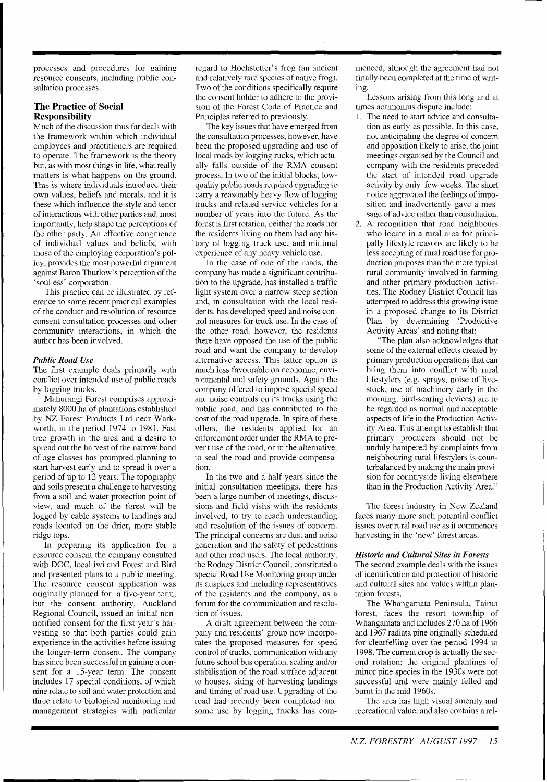processes and procedures for gaining resource consents, including public consultation processes.

# **The Practice of Social Responsibility**

Much of the discussion thus far deals with the framework within which individual employees and practitioners are required to operate. The framework is the theory but, as with most things in life. what really matters is what happens on the ground. This is where individuals introduce their own values, beliefs and morals, and it is these which influence the style and tenor of interactions with other parties and, most importantly, help shape the perceptions of the other party. An effective congruence of individual values and beliefs, with those of the employing corporation's policy, provides the most powerful argument against Baron Thurlow's perception of the 'soulless' corporation.

This practice can be illustrated by reference to some recent practical examples of the conduct and resolution of resource consent consultation processes and other community interactions, in which the author has been involved.

# *Public Road Use*

The first example deals primarily with conflict over intended use of public roads by logging trucks.

Mahurangi Forest comprises approximately 8000 ha of plantations established by NZ Forest Products Ltd near Warkworth, in the period 1974 to 1981. Fast tree growth in the area and a desire to spread out the harvest of the narrow band of age classes has prompted planning to start harvest early and to spread it over a period of up to 12 years. The topography and soils present a challenge to harvesting from a soil and water protection point of view, and much of the forest will be logged by cable systems to landings and roads located on the drier, more stable ridge tops.

In preparing its application for a resource consent the company consulted with DOC, local iwi and Forest and Bird and presented plans to a public meeting. The resource consent application was originally planned for a five-year term, but the consent authority, Auckland Regional Council, issued an initial nonnotified consent for the first year's harvesting so that both parties could gain experience in the activities before issuing the longer-term consent. The company has since been successful in gaining a consent for a 15-year term. The consent includes 17 special conditions, of which nine relate to soil and water protection and three relate to biological monitoring and management strategies with particular regard to Hochstetter's frog (an ancient and relatively rare species of native frog). Two of the conditions specifically require the consent holder to adhere to the provision of the Forest Code of Practice and Principles referred to previously.

The key issues that have emerged from the consultation processes, however, have been the proposed upgrading and use of local roads by logging rucks, which actually falls outside of the RMA consent process. In two of the initial blocks, lowquality public roads required upgrading to carry a reasonably heavy flow of logging trucks and related service vehicles for a number of years into the future. As the forest is first rotation, neither the roads nor the residents living on them had any history of logging truck use, and minimal experience of any heavy vehicle use.

In the case of one of the roads. the company has made a significant contribution to the upgrade, has installed a traffic light system over a narrow steep section and, in consultation with the local residents, has developed speed and noise control measures for truck use. In the case of the other road, however, the residents there have opposed the use of the public road and want the company to develop alternative access. This latter option is much less favourable on economic, environmental and safety grounds. Again the company offered to impose special speed and noise controls on its trucks using the public road, and has contributed to the cost of the road upgrade. In spite of these offers, the residents applied for an enforcement order under the RMA to prevent use of the road, or in the alternative, to seal the road and provide compensation.

In the two and a half years since the initial consultation meetings, there has been a large number of meetings, discussions and field visits with the residents involved, to try to reach understanding and resolution of the issues of concern. The principal concerns are dust and noise generation and the safety of pedestrians and other road users. The local authority, the Rodney District Council, constituted a special Road Use Monitoring group under its auspices and including representatives of the residents and the company, as a forum for the communication and resolution of issues.

A draft agreement between the company and residents' group now incorporates the proposed measures for speed control of trucks, communication with any future school bus operation, sealing and/or stabilisation of the road surface adjacent to houses, siting of harvesting landings and timing of road use. Upgrading of the road had recently been completed and some use by logging trucks has commenced, although the agreement had not finally been completed at the time of writing.

Lessons arising from this long and at tirnes acrimonius dispute include:

- 1. The need to start advice and consultation as early as possible. In this case, not anticipating the degree of concern and opposition likely to arise, the joint meetings organised by the Council and company with the residents preceded the start of intended road upgrade activity by only few weeks. The short notice aggravated the feelings of imposition and inadvertently gave a message of advice rather than consultation.
- 2. A recognition that road neighbours who locate in a rural area for principally lifestyle reasons are likely to be less accepting of rural road use for production purposes than the more typical rural community involved in farming and other primary production activities. The Rodney District Council has attempted to address this growing issue in a proposed change to its District Plan by determining 'Productive Activity Areas' and noting that:

"The plan also acknowledges that some of the external effects created by primary production operations that can bring them into conflict with rural lifestylers (e.g. sprays, noise of livestock, use of machinery early in the morning, bird-scaring devices) are to be regarded as normal and acceptable aspects of life in the Production Activity Area. This attempt to establish that primary producers should not be unduly hampered by complaints from neighbouring rural lifestylers is counterbalanced by making the main provision for countryside living elsewhere than in the Production Activity Area."

The forest industry in New Zealand faces many more such potential conflict issues over rural road use as it commences harvesting in the 'new' forest areas.

### *Historic and Cultural Sites in Forests*

The second example deals with the issues of identification and protection of historic and cultural sites and values within plantation forests.

The Whangamata Peninsula, Tairua forest, faces the resort township of Whangamata and includes 270 ha of 1966 and 1967 radiata pine originally scheduled for clearfelling over the period 1994 to 1998. The current crop is actually the second rotation; the original plantings of minor pine species in the 1930s were not successful and were mainly felled and burnt in the mid 1960s.

The area has high visual amenity and recreational value, and also contains a rel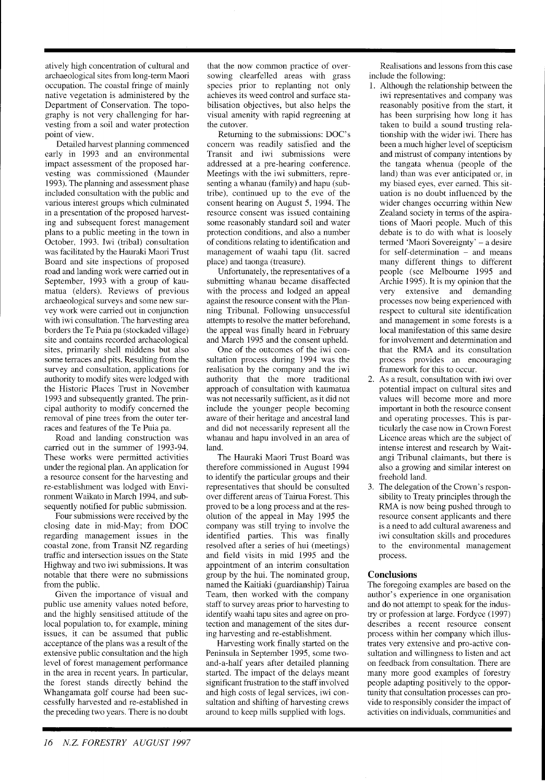atively high concentration of cultural and archaeological sites from long-term Maori occupation. The coastal fringe of mainly native vegetation is administered by the Department of Conservation. The topography is not very challenging for harvesting from a soil and water protection point of view.

Detailed harvest planning commenced early in 1993 and an environmental impact assessment of the proposed harvesting was commissioned (Maunder 1993). The planning and assessment phase included consultation with the public and various interest groups which culminated in a presentation of the proposed harvesting and subsequent forest management plans to a public meeting in the town in October, 1993. Iwi (tribal) consultation was facilitated by the Hauraki Maori Trust Board and site inspections of proposed road and landing work were carried out in September, 1993 with a group of kaumatua (elders). Reviews of previous archaeological surveys and some new survey work were carried out in conjunction with iwi consultation. The harvesting area borders the Te Puia pa (stockaded village) site and contains recorded archaeological sites, primarily shell middens but also some terraces and pits. Resulting from the survey and consultation, applications for authority to modify sites were lodged with the Historic Places Trust in November 1993 and subsequently granted. The principal authority to modify concerned the removal of pine trees from the outer terraces and features of the Te Puia pa.

Road and landing construction was carried out in the summer of 1993-94. These works were permitted activities under the regional plan. An application for a resource consent for the harvesting and re-establishment was lodged with Environment Waikato in March 1994, and subsequently notified for public submission.

Four submissions were received by the closing date in mid-May; from DOC regarding management issues in the coastal zone, from Transit NZ regarding traffic and intersection issues on the State Highway and two iwi submissions. It was notable that there were no submissions from the public.

Given the importance of visual and public use amenity values noted before, and the highly sensitised attitude of the local population to, for example, mining issues, it can be assumed that public acceptance of the plans was a result of the extensive public consultation and the high level of forest management performance in the area in recent years. In particular, the forest stands directly behind the Whangamata golf course had been successfully harvested and re-established in the preceding two years. There is no doubt

that the now common practice of oversowing clearfelled areas with grass species prior to replanting not only achieves its weed control and surface stabilisation objectives, but also helps the visual amenity with rapid regreening at the cutover.

Returning to the submissions: DOC'S concern was readily satisfied and the Transit and iwi submissions were addressed at a pre-hearing conference. Meetings with the iwi submitters, representing a whanau (family) and hapu (subtribe), continued up to the eve of the consent hearing on August 5, 1994. The resource consent was issued containing some reasonably standard soil and water protection conditions, and also a number of conditions relating to identification and management of waahi tapu (lit. sacred place) and taonga (treasure).

Unfortunately, the representatives of a submitting whanau became disaffected with the process and lodged an appeal against the resource consent with the Planning Tribunal. Following unsuccessful attempts to resolve the matter beforehand, the appeal was finally heard in February and March 1995 and the consent upheld.

One of the outcomes of the iwi consultation process during 1994 was the realisation by the company and the iwi authority that the more traditional approach of consultation with kaumatua was not necessarily sufficient, as it did not include the younger people becoming aware of their heritage and ancestral land and did not necessarily represent all the whanau and hapu involved in an area of land.

The Hauraki Maori Trust Board was therefore commissioned in August 1994 to identify the particular groups and their representatives that should be consulted over different areas of Tairua Forest. This proved to be a long process and at the resolution of the appeal in May 1995 the company was still trying to involve the identified parties. This was finally resolved after a series of hui (meetings) and field visits in mid 1995 and the appointment of an interim consultation group by the hui. The nominated group, named the Kaitiaki (guardianship) Tairua Team, then worked with the company staff to survey areas prior to harvesting to identify waahi tapu sites and agree on protection and management of the sites during harvesting and re-establishment.

Harvesting work finally started on the Peninsula in September 1995, some twoand-a-half years after detailed planning started. The impact of the delays meant significant frustration to the staff involved and high costs of legal services, iwi consultation and shifting of harvesting crews around to keep mills supplied with logs.

Realisations and lessons from this case include the following:

- 1. Although the relationship between the iwi representatives and company was reasonably positive from the start, it has been surprising how long it has taken to build a sound trusting relationship with the wider iwi. There has been a much higher level of scepticism and mistrust of company intentions by the tangata whenua (people of the land) than was ever anticipated or, in my biased eyes, ever earned. This situation is no doubt influenced by the wider changes occurring within New Zealand society in terms of the aspirations of Maori people. Much of this debate is to do with what is loosely termed 'Maori Sovereignty' – a desire for self-determination - and means many different things to different people (see Melbourne 1995 and Archie 1995). It is my opinion that the very extensive and demanding processes now being experienced with respect to cultural site identification and management in some forests is a local manifestation of this same desire for involvement and determination and that the RMA and its consultation process provides an encouraging framework for this to occur.
- 2. As a result, consultation with iwi over potential impact on cultural sites and values will become more and more important in both the resource consent and operating processes. This is particularly the case now in Crown Forest Licence areas which are the subject of intense interest and research by Waitangi Tribunal claimants, but there is also a growing and similar interest on freehold land.
- 3. The delegation of the Crown's responsibility to Treaty principles through the RMA is now being pushed through to resource consent applicants and there is a need to add cultural awareness and iwi consultation skills and procedures to the environmental management process.

# **Conclusions**

The foregoing examples are based on the author's experience in one organisation and do not attempt to speak for the industry or profession at large. Fordyce (1997) describes a recent resource consent process within her company which illustrates very extensive and pro-active consultation and willingness to listen and act on feedback from consultation. There are many more good examples of forestry people adapting positively to the opportunity that consultation processes can provide to responsibly consider the impact of activities on individuals. communities and